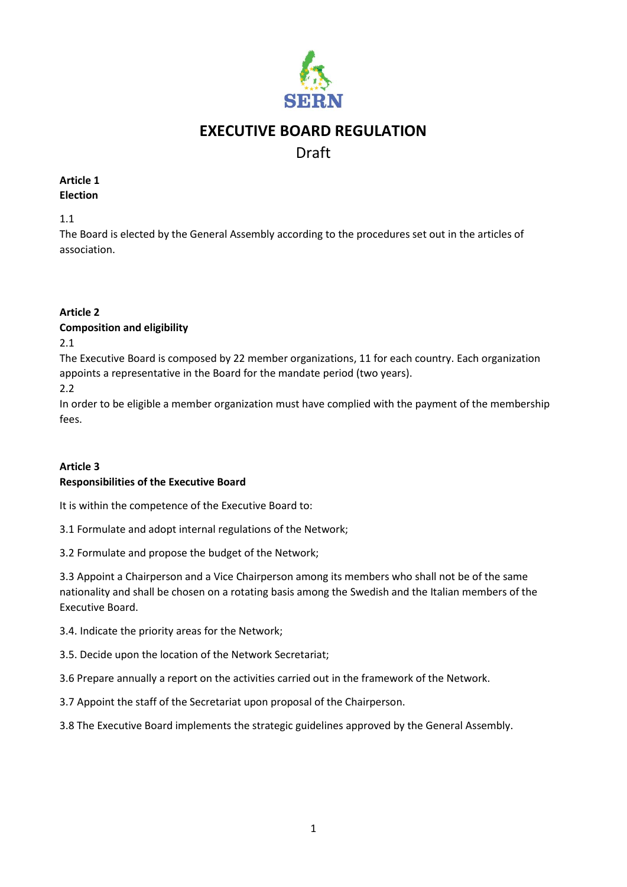

# **EXECUTIVE BOARD REGULATION**

## Draft

#### **Article 1 Election**

1.1

The Board is elected by the General Assembly according to the procedures set out in the articles of association.

## **Article 2**

#### **Composition and eligibility**

2.1

The Executive Board is composed by 22 member organizations, 11 for each country. Each organization appoints a representative in the Board for the mandate period (two years).

2.2

In order to be eligible a member organization must have complied with the payment of the membership fees.

#### **Article 3 Responsibilities of the Executive Board**

It is within the competence of the Executive Board to:

3.1 Formulate and adopt internal regulations of the Network;

3.2 Formulate and propose the budget of the Network;

3.3 Appoint a Chairperson and a Vice Chairperson among its members who shall not be of the same nationality and shall be chosen on a rotating basis among the Swedish and the Italian members of the Executive Board.

3.4. Indicate the priority areas for the Network;

3.5. Decide upon the location of the Network Secretariat;

3.6 Prepare annually a report on the activities carried out in the framework of the Network.

3.7 Appoint the staff of the Secretariat upon proposal of the Chairperson.

3.8 The Executive Board implements the strategic guidelines approved by the General Assembly.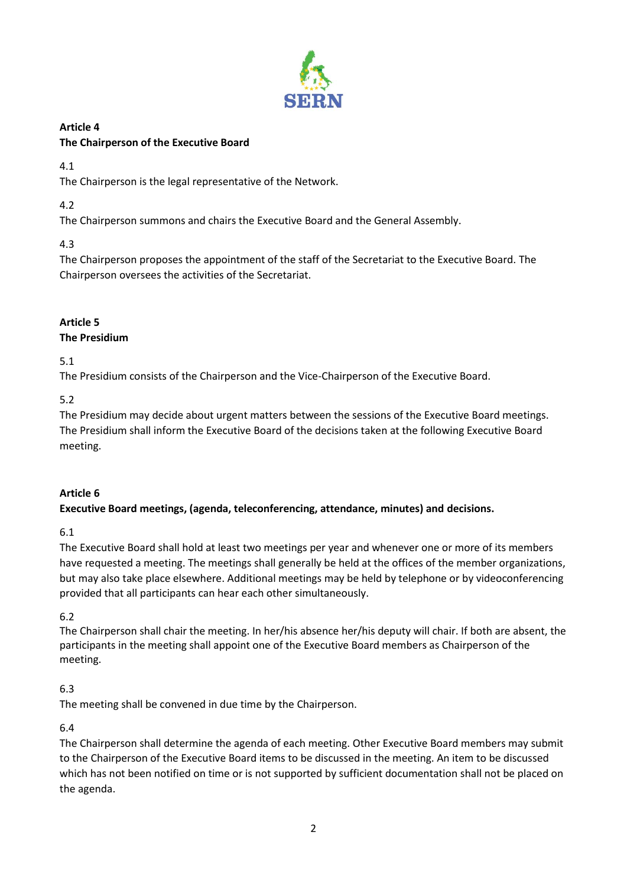

## **Article 4 The Chairperson of the Executive Board**

4.1

The Chairperson is the legal representative of the Network.

## 4.2

The Chairperson summons and chairs the Executive Board and the General Assembly.

## 4.3

The Chairperson proposes the appointment of the staff of the Secretariat to the Executive Board. The Chairperson oversees the activities of the Secretariat.

## **Article 5**

## **The Presidium**

5.1

The Presidium consists of the Chairperson and the Vice-Chairperson of the Executive Board.

5.2

The Presidium may decide about urgent matters between the sessions of the Executive Board meetings. The Presidium shall inform the Executive Board of the decisions taken at the following Executive Board meeting.

## **Article 6**

## **Executive Board meetings, (agenda, teleconferencing, attendance, minutes) and decisions.**

6.1

The Executive Board shall hold at least two meetings per year and whenever one or more of its members have requested a meeting. The meetings shall generally be held at the offices of the member organizations, but may also take place elsewhere. Additional meetings may be held by telephone or by videoconferencing provided that all participants can hear each other simultaneously.

6.2

The Chairperson shall chair the meeting. In her/his absence her/his deputy will chair. If both are absent, the participants in the meeting shall appoint one of the Executive Board members as Chairperson of the meeting.

## 6.3

The meeting shall be convened in due time by the Chairperson.

6.4

The Chairperson shall determine the agenda of each meeting. Other Executive Board members may submit to the Chairperson of the Executive Board items to be discussed in the meeting. An item to be discussed which has not been notified on time or is not supported by sufficient documentation shall not be placed on the agenda.